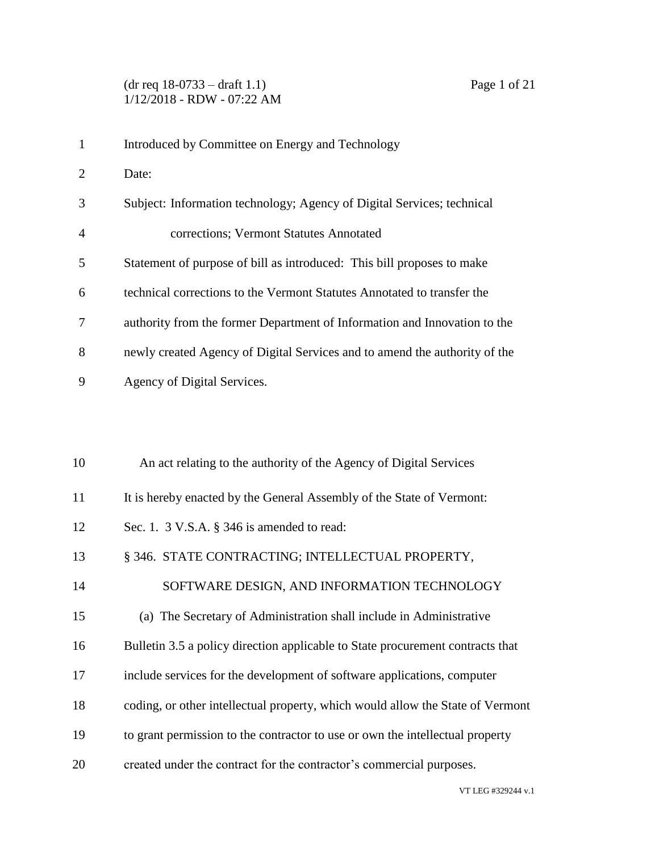(dr req 18-0733 – draft 1.1) Page 1 of 21 1/12/2018 - RDW - 07:22 AM

| $\mathbf{1}$   | Introduced by Committee on Energy and Technology                               |
|----------------|--------------------------------------------------------------------------------|
| $\overline{2}$ | Date:                                                                          |
| 3              | Subject: Information technology; Agency of Digital Services; technical         |
| 4              | corrections; Vermont Statutes Annotated                                        |
| 5              | Statement of purpose of bill as introduced: This bill proposes to make         |
| 6              | technical corrections to the Vermont Statutes Annotated to transfer the        |
| 7              | authority from the former Department of Information and Innovation to the      |
| 8              | newly created Agency of Digital Services and to amend the authority of the     |
| 9              | Agency of Digital Services.                                                    |
|                |                                                                                |
|                |                                                                                |
| 10             | An act relating to the authority of the Agency of Digital Services             |
| 11             | It is hereby enacted by the General Assembly of the State of Vermont:          |
| 12             | Sec. 1. 3 V.S.A. § 346 is amended to read:                                     |
| 13             | § 346. STATE CONTRACTING; INTELLECTUAL PROPERTY,                               |
| 14             | SOFTWARE DESIGN, AND INFORMATION TECHNOLOGY                                    |
| 15             | (a) The Secretary of Administration shall include in Administrative            |
| 16             | Bulletin 3.5 a policy direction applicable to State procurement contracts that |
| 17             | include services for the development of software applications, computer        |
| 18             | coding, or other intellectual property, which would allow the State of Vermont |
| 19             | to grant permission to the contractor to use or own the intellectual property  |
| 20             | created under the contract for the contractor's commercial purposes.           |

VT LEG #329244 v.1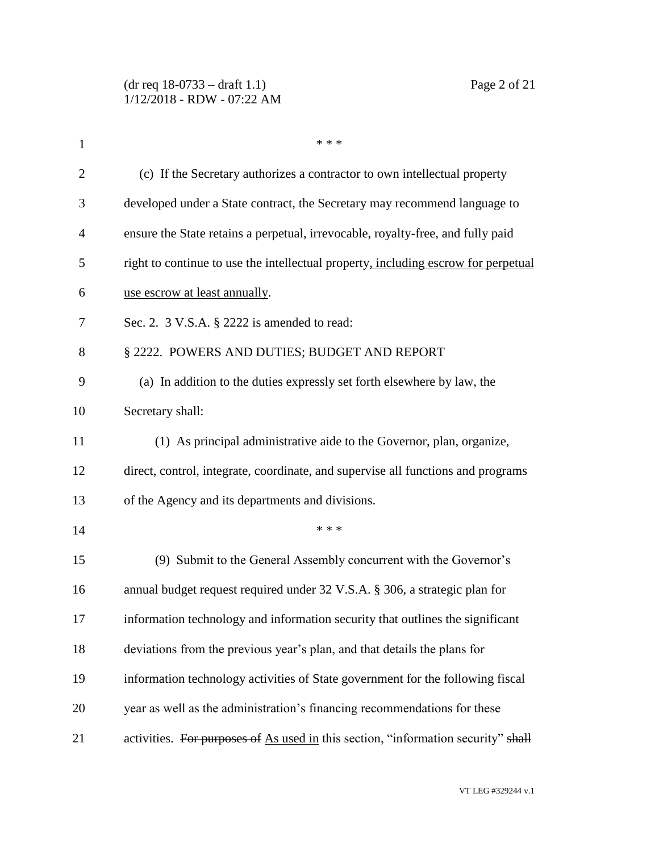| 1              | * * *                                                                              |
|----------------|------------------------------------------------------------------------------------|
| $\overline{2}$ | (c) If the Secretary authorizes a contractor to own intellectual property          |
| 3              | developed under a State contract, the Secretary may recommend language to          |
| 4              | ensure the State retains a perpetual, irrevocable, royalty-free, and fully paid    |
| 5              | right to continue to use the intellectual property, including escrow for perpetual |
| 6              | use escrow at least annually.                                                      |
| 7              | Sec. 2. 3 V.S.A. § 2222 is amended to read:                                        |
| 8              | § 2222. POWERS AND DUTIES; BUDGET AND REPORT                                       |
| 9              | (a) In addition to the duties expressly set forth elsewhere by law, the            |
| 10             | Secretary shall:                                                                   |
| 11             | (1) As principal administrative aide to the Governor, plan, organize,              |
| 12             | direct, control, integrate, coordinate, and supervise all functions and programs   |
| 13             | of the Agency and its departments and divisions.                                   |
| 14             | * * *                                                                              |
| 15             | (9) Submit to the General Assembly concurrent with the Governor's                  |
| 16             | annual budget request required under 32 V.S.A. § 306, a strategic plan for         |
| 17             | information technology and information security that outlines the significant      |
| 18             | deviations from the previous year's plan, and that details the plans for           |
| 19             | information technology activities of State government for the following fiscal     |
| 20             | year as well as the administration's financing recommendations for these           |
| 21             | activities. For purposes of As used in this section, "information security" shall  |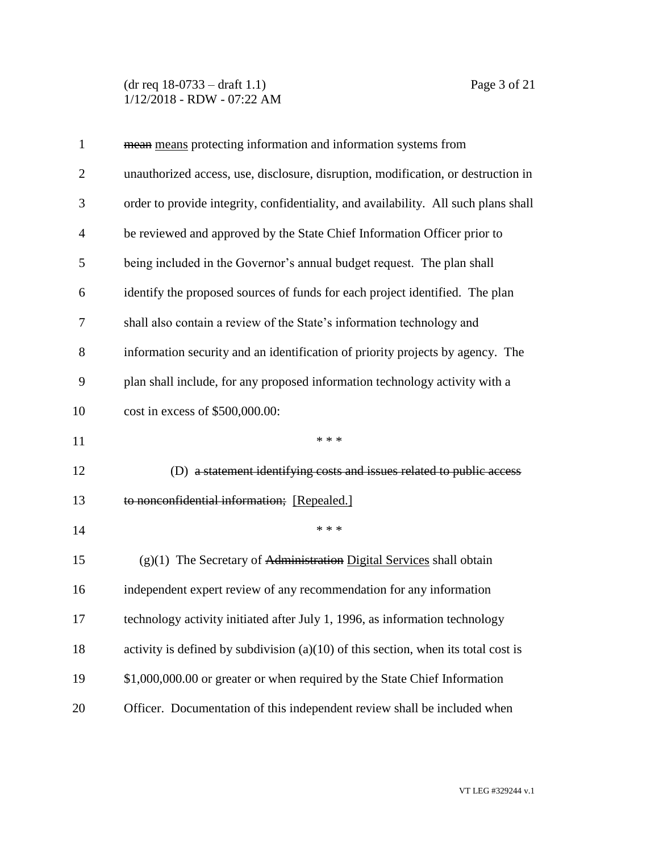(dr req 18-0733 – draft 1.1) Page 3 of 21 1/12/2018 - RDW - 07:22 AM

| $\mathbf{1}$   | mean means protecting information and information systems from                       |
|----------------|--------------------------------------------------------------------------------------|
| $\overline{2}$ | unauthorized access, use, disclosure, disruption, modification, or destruction in    |
| 3              | order to provide integrity, confidentiality, and availability. All such plans shall  |
| $\overline{4}$ | be reviewed and approved by the State Chief Information Officer prior to             |
| 5              | being included in the Governor's annual budget request. The plan shall               |
| 6              | identify the proposed sources of funds for each project identified. The plan         |
| 7              | shall also contain a review of the State's information technology and                |
| 8              | information security and an identification of priority projects by agency. The       |
| 9              | plan shall include, for any proposed information technology activity with a          |
| 10             | cost in excess of \$500,000.00:                                                      |
| 11             | * * *                                                                                |
| 12             | (D) a statement identifying costs and issues related to public access                |
| 13             | to nonconfidential information; [Repealed.]                                          |
| 14             | * * *                                                                                |
| 15             | $(g)(1)$ The Secretary of Administration Digital Services shall obtain               |
| 16             | independent expert review of any recommendation for any information                  |
| 17             | technology activity initiated after July 1, 1996, as information technology          |
| 18             | activity is defined by subdivision $(a)(10)$ of this section, when its total cost is |
| 19             | \$1,000,000.00 or greater or when required by the State Chief Information            |
| 20             |                                                                                      |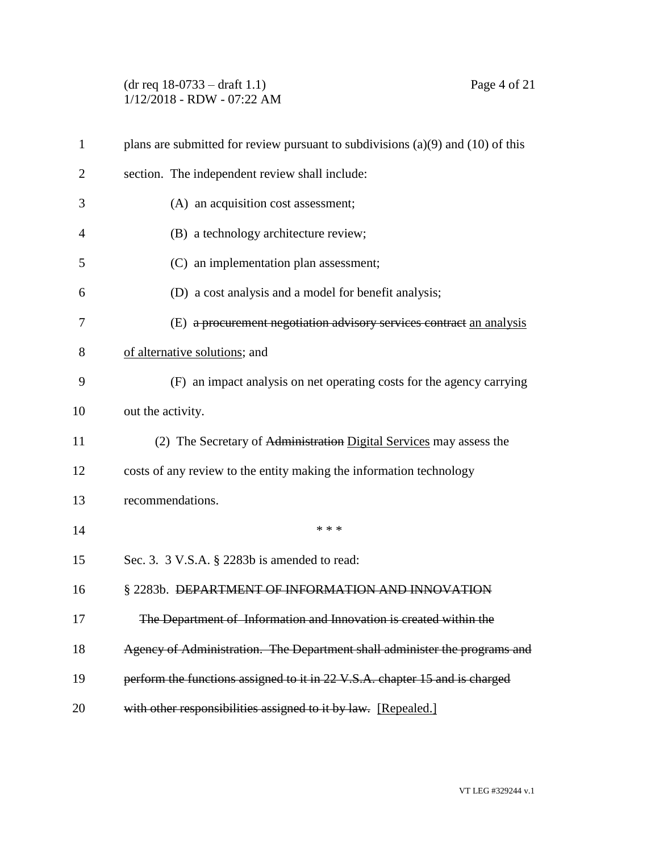(dr req 18-0733 – draft 1.1) Page 4 of 21 1/12/2018 - RDW - 07:22 AM

| $\mathbf{1}$   | plans are submitted for review pursuant to subdivisions $(a)(9)$ and $(10)$ of this |
|----------------|-------------------------------------------------------------------------------------|
| $\overline{2}$ | section. The independent review shall include:                                      |
| 3              | (A) an acquisition cost assessment;                                                 |
| 4              | (B) a technology architecture review;                                               |
| 5              | (C) an implementation plan assessment;                                              |
| 6              | (D) a cost analysis and a model for benefit analysis;                               |
| 7              | (E) a procurement negotiation advisory services contract an analysis                |
| 8              | of alternative solutions; and                                                       |
| 9              | (F) an impact analysis on net operating costs for the agency carrying               |
| 10             | out the activity.                                                                   |
| 11             | (2) The Secretary of Administration Digital Services may assess the                 |
| 12             | costs of any review to the entity making the information technology                 |
| 13             | recommendations.                                                                    |
| 14             | * * *                                                                               |
| 15             | Sec. 3. 3 V.S.A. § 2283b is amended to read:                                        |
| 16             | § 2283b. DEPARTMENT OF INFORMATION AND INNOVATION                                   |
| 17             | The Department of Information and Innovation is created within the                  |
| 18             | Agency of Administration. The Department shall administer the programs and          |
| 19             | perform the functions assigned to it in 22 V.S.A. chapter 15 and is charged         |
| 20             | with other responsibilities assigned to it by law. [Repealed.]                      |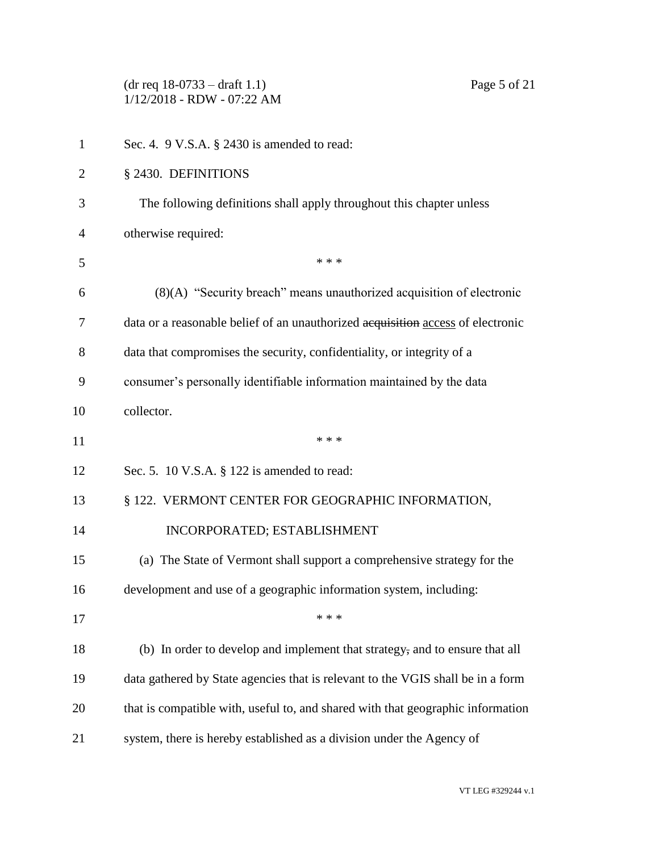|                | Page 5 of 21<br>$(dr \text{ req } 18-0733 - draft 1.1)$<br>1/12/2018 - RDW - 07:22 AM |
|----------------|---------------------------------------------------------------------------------------|
| $\mathbf{1}$   | Sec. 4. 9 V.S.A. § 2430 is amended to read:                                           |
| $\overline{2}$ | § 2430. DEFINITIONS                                                                   |
| 3              | The following definitions shall apply throughout this chapter unless                  |
| $\overline{4}$ | otherwise required:                                                                   |
| 5              | * * *                                                                                 |
| 6              | (8)(A) "Security breach" means unauthorized acquisition of electronic                 |
| 7              | data or a reasonable belief of an unauthorized acquisition access of electronic       |
| 8              | data that compromises the security, confidentiality, or integrity of a                |
| 9              | consumer's personally identifiable information maintained by the data                 |
| 10             | collector.                                                                            |
| 11             | * * *                                                                                 |
| 12             | Sec. 5. 10 V.S.A. $\S$ 122 is amended to read:                                        |
| 13             | § 122. VERMONT CENTER FOR GEOGRAPHIC INFORMATION,                                     |
| 14             | INCORPORATED; ESTABLISHMENT                                                           |
| 15             | (a) The State of Vermont shall support a comprehensive strategy for the               |
| 16             | development and use of a geographic information system, including:                    |
| 17             | * * *                                                                                 |
| 18             | (b) In order to develop and implement that strategy, and to ensure that all           |
| 19             | data gathered by State agencies that is relevant to the VGIS shall be in a form       |
| 20             | that is compatible with, useful to, and shared with that geographic information       |
| 21             | system, there is hereby established as a division under the Agency of                 |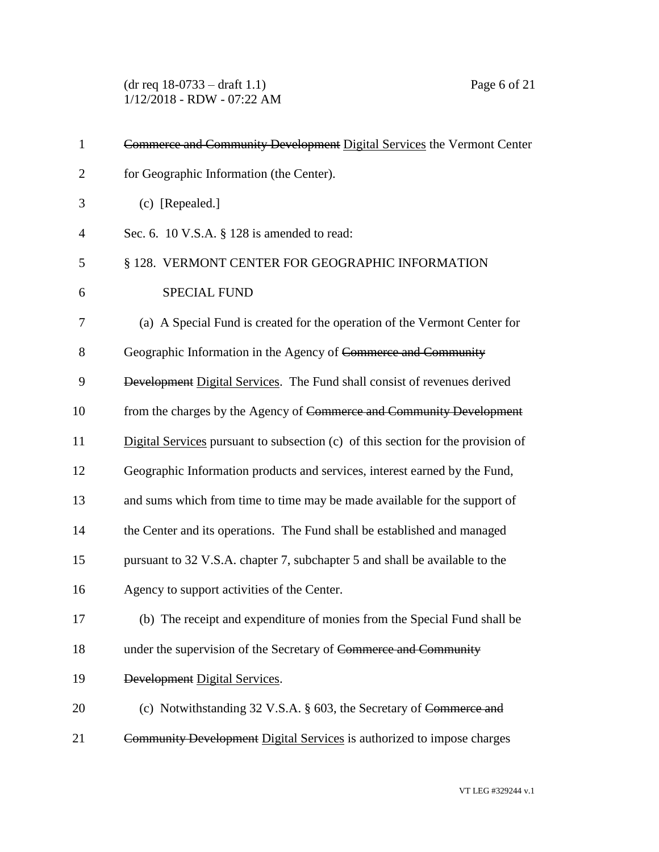(dr req 18-0733 – draft 1.1) Page 6 of 21 1/12/2018 - RDW - 07:22 AM

| $\mathbf{1}$   | Commerce and Community Development Digital Services the Vermont Center           |
|----------------|----------------------------------------------------------------------------------|
| $\overline{2}$ | for Geographic Information (the Center).                                         |
| 3              | $(c)$ [Repealed.]                                                                |
| $\overline{4}$ | Sec. 6. 10 V.S.A. § 128 is amended to read:                                      |
| 5              | § 128. VERMONT CENTER FOR GEOGRAPHIC INFORMATION                                 |
| 6              | <b>SPECIAL FUND</b>                                                              |
| 7              | (a) A Special Fund is created for the operation of the Vermont Center for        |
| 8              | Geographic Information in the Agency of Commerce and Community                   |
| 9              | Development Digital Services. The Fund shall consist of revenues derived         |
| 10             | from the charges by the Agency of Commerce and Community Development             |
| 11             | Digital Services pursuant to subsection (c) of this section for the provision of |
| 12             | Geographic Information products and services, interest earned by the Fund,       |
| 13             | and sums which from time to time may be made available for the support of        |
| 14             | the Center and its operations. The Fund shall be established and managed         |
| 15             | pursuant to 32 V.S.A. chapter 7, subchapter 5 and shall be available to the      |
| 16             | Agency to support activities of the Center.                                      |
| 17             | (b) The receipt and expenditure of monies from the Special Fund shall be         |
| 18             | under the supervision of the Secretary of Commerce and Community                 |
| 19             | Development Digital Services.                                                    |
| 20             | (c) Notwithstanding 32 V.S.A. § 603, the Secretary of Commerce and               |
| 21             | Community Development Digital Services is authorized to impose charges           |
|                |                                                                                  |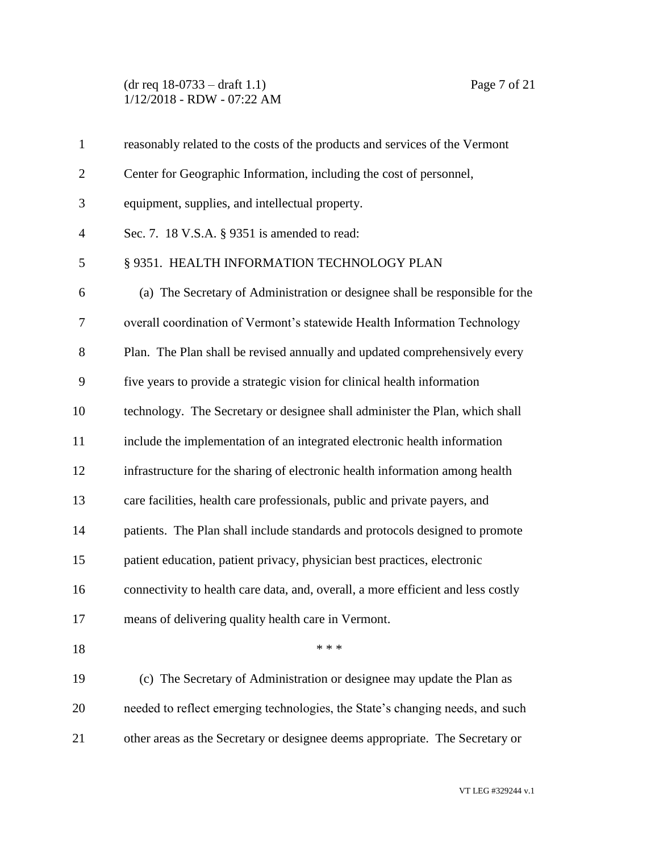(dr req 18-0733 – draft 1.1) Page 7 of 21 1/12/2018 - RDW - 07:22 AM

| $\mathbf{1}$   | reasonably related to the costs of the products and services of the Vermont      |
|----------------|----------------------------------------------------------------------------------|
| $\overline{2}$ | Center for Geographic Information, including the cost of personnel,              |
| 3              | equipment, supplies, and intellectual property.                                  |
| $\overline{4}$ | Sec. 7. 18 V.S.A. § 9351 is amended to read:                                     |
| 5              | § 9351. HEALTH INFORMATION TECHNOLOGY PLAN                                       |
| 6              | (a) The Secretary of Administration or designee shall be responsible for the     |
| 7              | overall coordination of Vermont's statewide Health Information Technology        |
| 8              | Plan. The Plan shall be revised annually and updated comprehensively every       |
| 9              | five years to provide a strategic vision for clinical health information         |
| 10             | technology. The Secretary or designee shall administer the Plan, which shall     |
| 11             | include the implementation of an integrated electronic health information        |
| 12             | infrastructure for the sharing of electronic health information among health     |
| 13             | care facilities, health care professionals, public and private payers, and       |
| 14             | patients. The Plan shall include standards and protocols designed to promote     |
| 15             | patient education, patient privacy, physician best practices, electronic         |
| 16             | connectivity to health care data, and, overall, a more efficient and less costly |
| 17             | means of delivering quality health care in Vermont.                              |
| 18             | * * *                                                                            |
| 19             | (c) The Secretary of Administration or designee may update the Plan as           |
| 20             | needed to reflect emerging technologies, the State's changing needs, and such    |
| 21             | other areas as the Secretary or designee deems appropriate. The Secretary or     |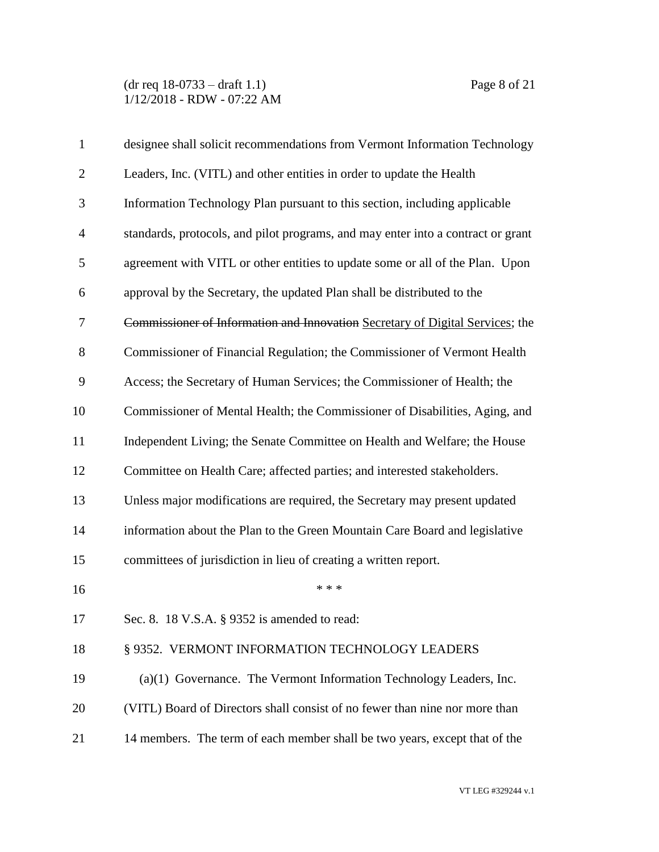(dr req 18-0733 – draft 1.1) Page 8 of 21 1/12/2018 - RDW - 07:22 AM

| $\mathbf{1}$   | designee shall solicit recommendations from Vermont Information Technology       |
|----------------|----------------------------------------------------------------------------------|
| $\overline{2}$ | Leaders, Inc. (VITL) and other entities in order to update the Health            |
| 3              | Information Technology Plan pursuant to this section, including applicable       |
| $\overline{4}$ | standards, protocols, and pilot programs, and may enter into a contract or grant |
| 5              | agreement with VITL or other entities to update some or all of the Plan. Upon    |
| 6              | approval by the Secretary, the updated Plan shall be distributed to the          |
| 7              | Commissioner of Information and Innovation Secretary of Digital Services; the    |
| 8              | Commissioner of Financial Regulation; the Commissioner of Vermont Health         |
| 9              | Access; the Secretary of Human Services; the Commissioner of Health; the         |
| 10             | Commissioner of Mental Health; the Commissioner of Disabilities, Aging, and      |
| 11             | Independent Living; the Senate Committee on Health and Welfare; the House        |
| 12             | Committee on Health Care; affected parties; and interested stakeholders.         |
| 13             | Unless major modifications are required, the Secretary may present updated       |
| 14             | information about the Plan to the Green Mountain Care Board and legislative      |
| 15             | committees of jurisdiction in lieu of creating a written report.                 |
| 16             | * * *                                                                            |
| 17             | Sec. 8. 18 V.S.A. § 9352 is amended to read:                                     |
| 18             | § 9352. VERMONT INFORMATION TECHNOLOGY LEADERS                                   |
| 19             | $(a)(1)$ Governance. The Vermont Information Technology Leaders, Inc.            |
| 20             | (VITL) Board of Directors shall consist of no fewer than nine nor more than      |
| 21             | 14 members. The term of each member shall be two years, except that of the       |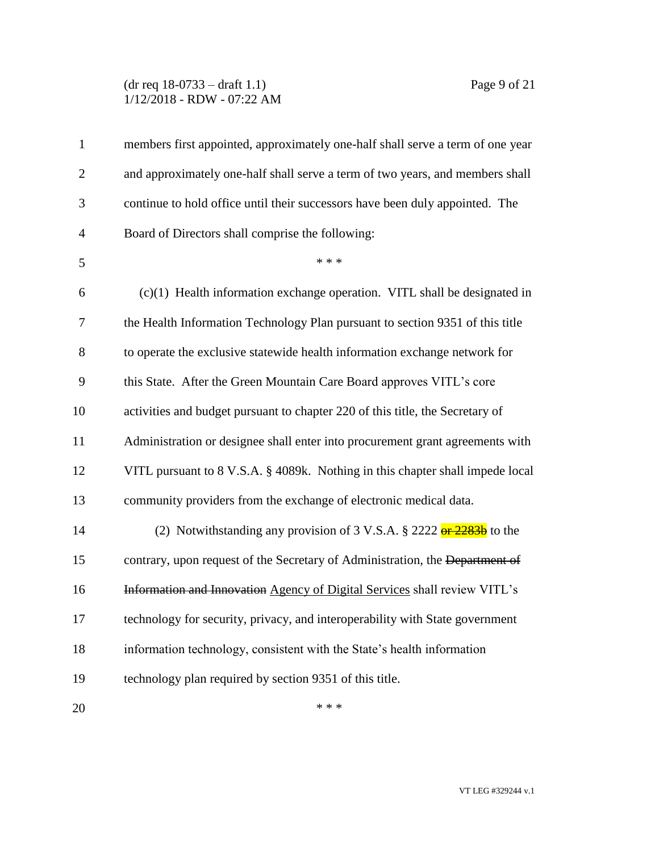# (dr req 18-0733 – draft 1.1) Page 9 of 21 1/12/2018 - RDW - 07:22 AM

| $\mathbf{1}$   | members first appointed, approximately one-half shall serve a term of one year   |
|----------------|----------------------------------------------------------------------------------|
| $\overline{2}$ | and approximately one-half shall serve a term of two years, and members shall    |
| 3              | continue to hold office until their successors have been duly appointed. The     |
| $\overline{4}$ | Board of Directors shall comprise the following:                                 |
| 5              | * * *                                                                            |
| 6              | $(c)(1)$ Health information exchange operation. VITL shall be designated in      |
| 7              | the Health Information Technology Plan pursuant to section 9351 of this title    |
| 8              | to operate the exclusive statewide health information exchange network for       |
| 9              | this State. After the Green Mountain Care Board approves VITL's core             |
| 10             | activities and budget pursuant to chapter 220 of this title, the Secretary of    |
| 11             | Administration or designee shall enter into procurement grant agreements with    |
| 12             | VITL pursuant to 8 V.S.A. § 4089k. Nothing in this chapter shall impede local    |
| 13             | community providers from the exchange of electronic medical data.                |
| 14             | (2) Notwithstanding any provision of 3 V.S.A. $\S 2222 \frac{er 2283b}{}$ to the |
| 15             | contrary, upon request of the Secretary of Administration, the Department of     |
| 16             | Information and Innovation Agency of Digital Services shall review VITL's        |
| 17             | technology for security, privacy, and interoperability with State government     |
| 18             | information technology, consistent with the State's health information           |
| 19             | technology plan required by section 9351 of this title.                          |
| 20             | * * *                                                                            |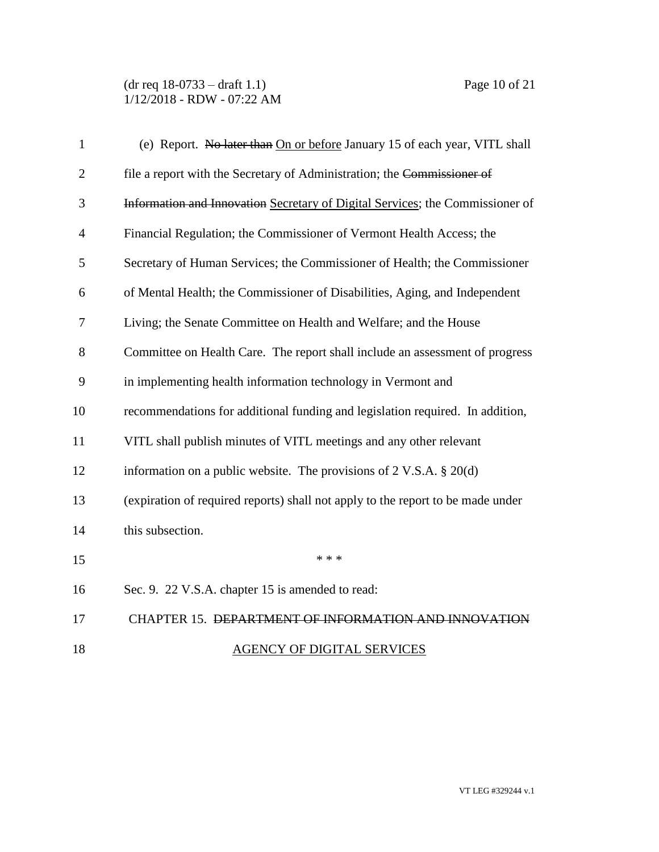(dr req 18-0733 – draft 1.1) Page 10 of 21 1/12/2018 - RDW - 07:22 AM

| $\mathbf{1}$   | (e) Report. No later than On or before January 15 of each year, VITL shall      |
|----------------|---------------------------------------------------------------------------------|
| $\overline{2}$ | file a report with the Secretary of Administration; the Commissioner of         |
| 3              | Information and Innovation Secretary of Digital Services; the Commissioner of   |
| 4              | Financial Regulation; the Commissioner of Vermont Health Access; the            |
| 5              | Secretary of Human Services; the Commissioner of Health; the Commissioner       |
| 6              | of Mental Health; the Commissioner of Disabilities, Aging, and Independent      |
| 7              | Living; the Senate Committee on Health and Welfare; and the House               |
| 8              | Committee on Health Care. The report shall include an assessment of progress    |
| 9              | in implementing health information technology in Vermont and                    |
| 10             | recommendations for additional funding and legislation required. In addition,   |
| 11             | VITL shall publish minutes of VITL meetings and any other relevant              |
| 12             | information on a public website. The provisions of $2 \text{ V.S.A. } § 20(d)$  |
| 13             | (expiration of required reports) shall not apply to the report to be made under |
| 14             | this subsection.                                                                |
| 15             | * * *                                                                           |
| 16             | Sec. 9. 22 V.S.A. chapter 15 is amended to read:                                |
| 17             | CHAPTER 15. DEPARTMENT OF INFORMATION AND INNOVATION                            |
| 18             | <b>AGENCY OF DIGITAL SERVICES</b>                                               |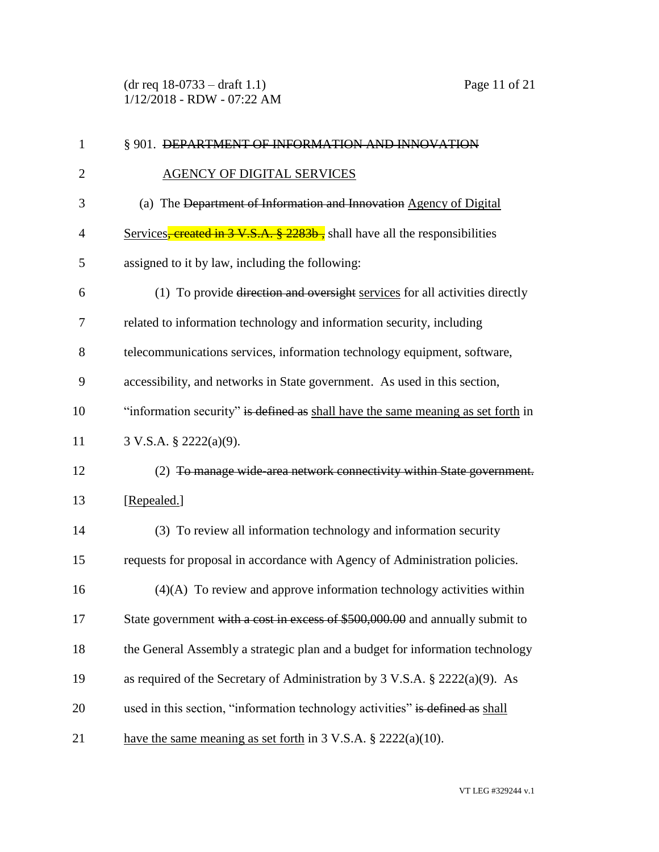(dr req 18-0733 – draft 1.1) Page 11 of 21 1/12/2018 - RDW - 07:22 AM

| $\mathbf{1}$   | § 901. DEPARTMENT OF INFORMATION AND INNOVATION                                          |
|----------------|------------------------------------------------------------------------------------------|
| $\overline{2}$ | <b>AGENCY OF DIGITAL SERVICES</b>                                                        |
| 3              | (a) The Department of Information and Innovation Agency of Digital                       |
| $\overline{4}$ | Services, created in 3 V.S.A. § 2283b, shall have all the responsibilities               |
| 5              | assigned to it by law, including the following:                                          |
| 6              | (1) To provide direction and oversight services for all activities directly              |
| 7              | related to information technology and information security, including                    |
| 8              | telecommunications services, information technology equipment, software,                 |
| 9              | accessibility, and networks in State government. As used in this section,                |
| 10             | "information security" is defined as shall have the same meaning as set forth in         |
| 11             | 3 V.S.A. § 2222(a)(9).                                                                   |
| 12             | (2) To manage wide-area network connectivity within State government.                    |
| 13             | [Repealed.]                                                                              |
| 14             | (3) To review all information technology and information security                        |
| 15             | requests for proposal in accordance with Agency of Administration policies.              |
| 16             | $(4)(A)$ To review and approve information technology activities within                  |
| 17             | State government with a cost in excess of \$500,000.00 and annually submit to            |
| 18             | the General Assembly a strategic plan and a budget for information technology            |
| 19             | as required of the Secretary of Administration by $3 \text{ V.S.A.} \$ $2222(a)(9)$ . As |
| 20             | used in this section, "information technology activities" is defined as shall            |
| 21             | have the same meaning as set forth in 3 V.S.A. $\S$ 2222(a)(10).                         |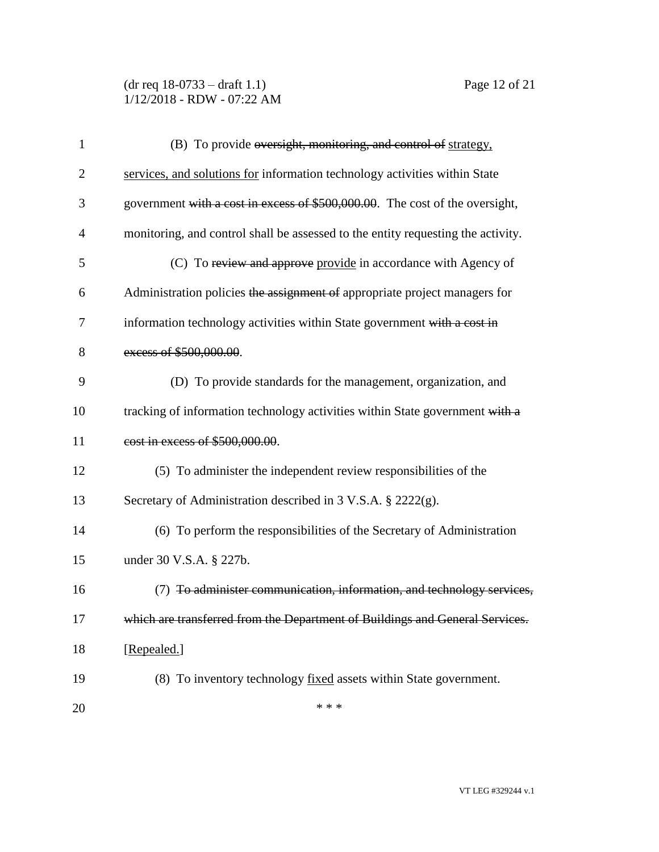(dr req 18-0733 – draft 1.1) Page 12 of 21 1/12/2018 - RDW - 07:22 AM

| 1              | (B) To provide oversight, monitoring, and control of strategy,                   |
|----------------|----------------------------------------------------------------------------------|
| $\overline{2}$ | services, and solutions for information technology activities within State       |
| 3              | government with a cost in excess of \$500,000.00. The cost of the oversight,     |
| 4              | monitoring, and control shall be assessed to the entity requesting the activity. |
| 5              | (C) To review and approve provide in accordance with Agency of                   |
| 6              | Administration policies the assignment of appropriate project managers for       |
| 7              | information technology activities within State government with a cost in         |
| 8              | excess of \$500,000.00.                                                          |
| 9              | (D) To provide standards for the management, organization, and                   |
| 10             | tracking of information technology activities within State government with a     |
| 11             | cost in excess of \$500,000.00.                                                  |
| 12             | (5) To administer the independent review responsibilities of the                 |
| 13             | Secretary of Administration described in 3 V.S.A. § 2222(g).                     |
| 14             | (6) To perform the responsibilities of the Secretary of Administration           |
| 15             | under 30 V.S.A. § 227b.                                                          |
| 16             | (7) To administer communication, information, and technology services,           |
| 17             | which are transferred from the Department of Buildings and General Services.     |
| 18             | [Repealed.]                                                                      |
| 19             | (8) To inventory technology <u>fixed</u> assets within State government.         |
| 20             | * * *                                                                            |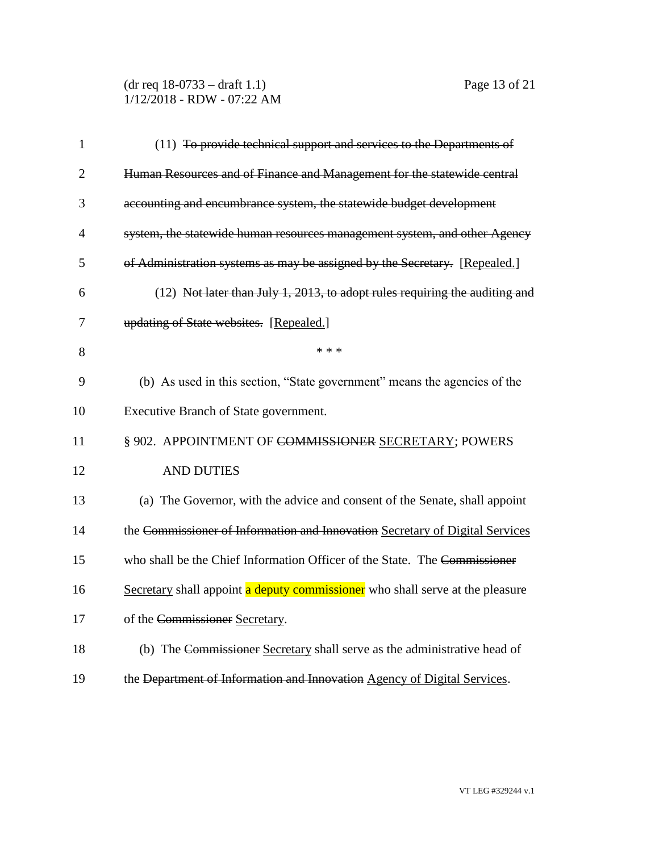(dr req 18-0733 – draft 1.1) Page 13 of 21 1/12/2018 - RDW - 07:22 AM

| $\mathbf{1}$   | (11) To provide technical support and services to the Departments of          |
|----------------|-------------------------------------------------------------------------------|
| $\overline{2}$ | Human Resources and of Finance and Management for the statewide central       |
| 3              | accounting and encumbrance system, the statewide budget development           |
| $\overline{4}$ | system, the statewide human resources management system, and other Agency     |
| 5              | of Administration systems as may be assigned by the Secretary. [Repealed.]    |
| 6              | (12) Not later than July 1, 2013, to adopt rules requiring the auditing and   |
| 7              | updating of State websites. [Repealed.]                                       |
| 8              | * * *                                                                         |
| 9              | (b) As used in this section, "State government" means the agencies of the     |
| 10             | Executive Branch of State government.                                         |
| 11             | § 902. APPOINTMENT OF COMMISSIONER SECRETARY; POWERS                          |
| 12             | <b>AND DUTIES</b>                                                             |
| 13             | (a) The Governor, with the advice and consent of the Senate, shall appoint    |
| 14             | the Commissioner of Information and Innovation Secretary of Digital Services  |
| 15             | who shall be the Chief Information Officer of the State. The Commissioner     |
| 16             | Secretary shall appoint a deputy commissioner who shall serve at the pleasure |
| 17             | of the Commissioner Secretary.                                                |
| 18             | (b) The Commissioner Secretary shall serve as the administrative head of      |
| 19             | the Department of Information and Innovation Agency of Digital Services.      |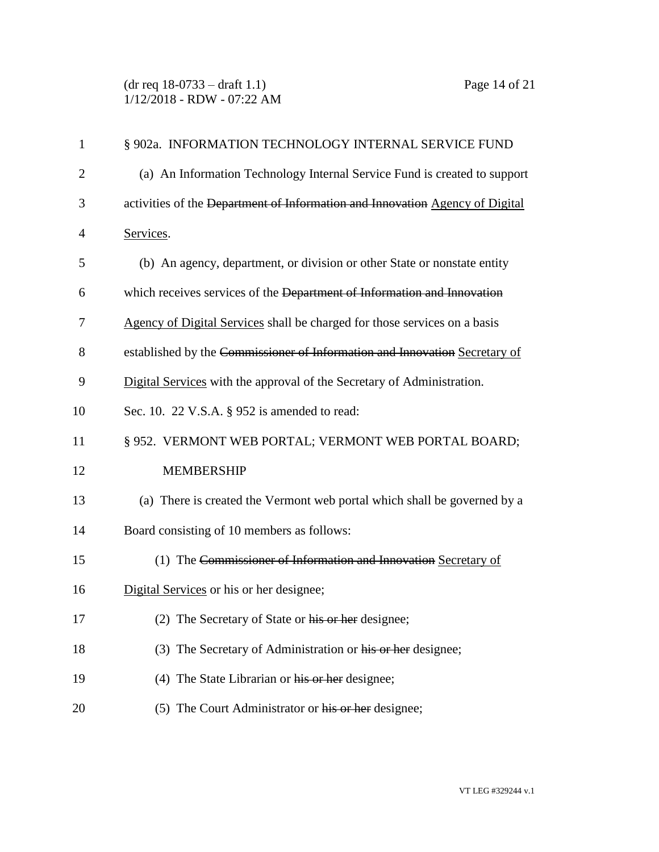| $\mathbf{1}$   | § 902a. INFORMATION TECHNOLOGY INTERNAL SERVICE FUND                         |
|----------------|------------------------------------------------------------------------------|
| $\overline{2}$ | (a) An Information Technology Internal Service Fund is created to support    |
| 3              | activities of the Department of Information and Innovation Agency of Digital |
| $\overline{4}$ | Services.                                                                    |
| 5              | (b) An agency, department, or division or other State or nonstate entity     |
| 6              | which receives services of the Department of Information and Innovation      |
| 7              | Agency of Digital Services shall be charged for those services on a basis    |
| 8              | established by the Commissioner of Information and Innovation Secretary of   |
| 9              | Digital Services with the approval of the Secretary of Administration.       |
| 10             | Sec. 10. 22 V.S.A. § 952 is amended to read:                                 |
| 11             | § 952. VERMONT WEB PORTAL; VERMONT WEB PORTAL BOARD;                         |
| 12             | <b>MEMBERSHIP</b>                                                            |
| 13             | (a) There is created the Vermont web portal which shall be governed by a     |
| 14             | Board consisting of 10 members as follows:                                   |
| 15             | (1) The Commissioner of Information and Innovation Secretary of              |
| 16             | Digital Services or his or her designee;                                     |
| 17             | (2) The Secretary of State or his or her designee;                           |
| 18             | (3) The Secretary of Administration or his or her designee;                  |
| 19             | (4) The State Librarian or his or her designee;                              |
| 20             | (5) The Court Administrator or his or her designee;                          |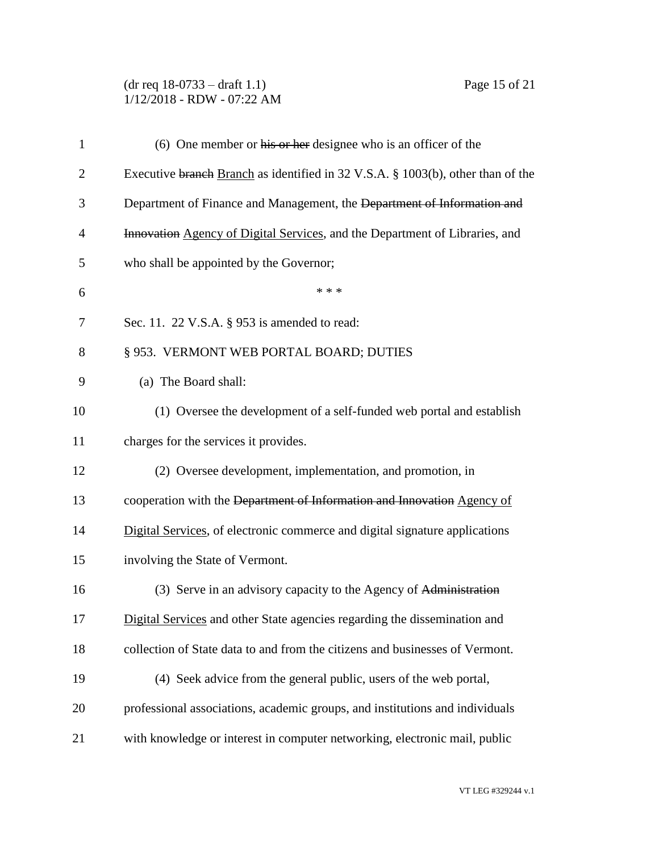### (dr req 18-0733 – draft 1.1) Page 15 of 21 1/12/2018 - RDW - 07:22 AM

| $\mathbf{1}$   | $(6)$ One member or his or her designee who is an officer of the                |  |  |  |
|----------------|---------------------------------------------------------------------------------|--|--|--|
| $\overline{2}$ | Executive branch Branch as identified in 32 V.S.A. § 1003(b), other than of the |  |  |  |
| 3              | Department of Finance and Management, the Department of Information and         |  |  |  |
| $\overline{4}$ | Innovation Agency of Digital Services, and the Department of Libraries, and     |  |  |  |
| 5              | who shall be appointed by the Governor;                                         |  |  |  |
| 6              | * * *                                                                           |  |  |  |
| 7              | Sec. 11. 22 V.S.A. § 953 is amended to read:                                    |  |  |  |
| 8              | § 953. VERMONT WEB PORTAL BOARD; DUTIES                                         |  |  |  |
| 9              | (a) The Board shall:                                                            |  |  |  |
| 10             | (1) Oversee the development of a self-funded web portal and establish           |  |  |  |
| 11             | charges for the services it provides.                                           |  |  |  |
| 12             | (2) Oversee development, implementation, and promotion, in                      |  |  |  |
| 13             | cooperation with the Department of Information and Innovation Agency of         |  |  |  |
| 14             | Digital Services, of electronic commerce and digital signature applications     |  |  |  |
| 15             | involving the State of Vermont.                                                 |  |  |  |
| 16             | (3) Serve in an advisory capacity to the Agency of Administration               |  |  |  |
| 17             | Digital Services and other State agencies regarding the dissemination and       |  |  |  |
| 18             | collection of State data to and from the citizens and businesses of Vermont.    |  |  |  |
| 19             | (4) Seek advice from the general public, users of the web portal,               |  |  |  |
| 20             | professional associations, academic groups, and institutions and individuals    |  |  |  |
| 21             | with knowledge or interest in computer networking, electronic mail, public      |  |  |  |
|                |                                                                                 |  |  |  |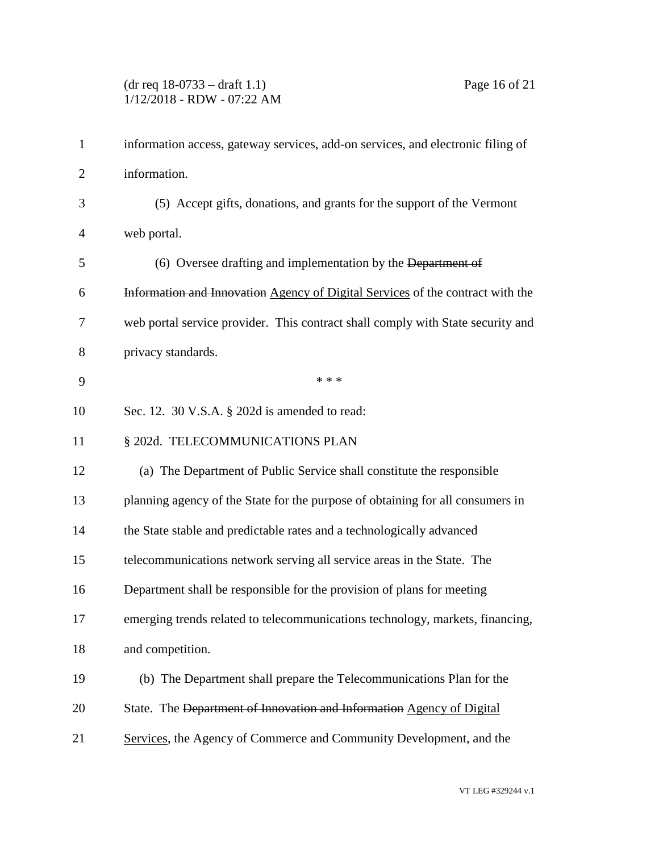# (dr req 18-0733 – draft 1.1) Page 16 of 21 1/12/2018 - RDW - 07:22 AM

| $\mathbf{1}$   | information access, gateway services, add-on services, and electronic filing of |
|----------------|---------------------------------------------------------------------------------|
| $\overline{2}$ | information.                                                                    |
| 3              | (5) Accept gifts, donations, and grants for the support of the Vermont          |
| $\overline{4}$ | web portal.                                                                     |
| 5              | (6) Oversee drafting and implementation by the Department of                    |
| 6              | Information and Innovation Agency of Digital Services of the contract with the  |
| 7              | web portal service provider. This contract shall comply with State security and |
| 8              | privacy standards.                                                              |
| 9              | * * *                                                                           |
| 10             | Sec. 12. 30 V.S.A. § 202d is amended to read:                                   |
| 11             | § 202d. TELECOMMUNICATIONS PLAN                                                 |
| 12             | (a) The Department of Public Service shall constitute the responsible           |
| 13             | planning agency of the State for the purpose of obtaining for all consumers in  |
| 14             | the State stable and predictable rates and a technologically advanced           |
| 15             | telecommunications network serving all service areas in the State. The          |
| 16             | Department shall be responsible for the provision of plans for meeting          |
| 17             | emerging trends related to telecommunications technology, markets, financing,   |
| 18             | and competition.                                                                |
| 19             | (b) The Department shall prepare the Telecommunications Plan for the            |
| 20             | State. The Department of Innovation and Information Agency of Digital           |
| 21             | Services, the Agency of Commerce and Community Development, and the             |
|                |                                                                                 |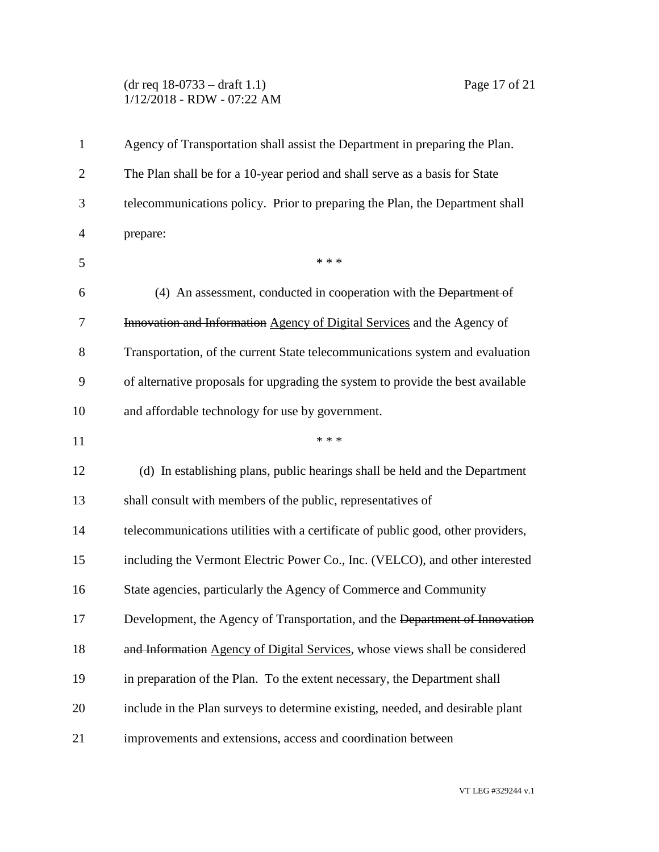## (dr req 18-0733 – draft 1.1) Page 17 of 21 1/12/2018 - RDW - 07:22 AM

| $\mathbf{1}$   | Agency of Transportation shall assist the Department in preparing the Plan.      |  |  |
|----------------|----------------------------------------------------------------------------------|--|--|
| $\overline{2}$ | The Plan shall be for a 10-year period and shall serve as a basis for State      |  |  |
| 3              | telecommunications policy. Prior to preparing the Plan, the Department shall     |  |  |
| 4              | prepare:                                                                         |  |  |
| 5              | * * *                                                                            |  |  |
| 6              | (4) An assessment, conducted in cooperation with the Department of               |  |  |
| 7              | Innovation and Information Agency of Digital Services and the Agency of          |  |  |
| 8              | Transportation, of the current State telecommunications system and evaluation    |  |  |
| 9              | of alternative proposals for upgrading the system to provide the best available  |  |  |
| 10             | and affordable technology for use by government.                                 |  |  |
| 11             | * * *                                                                            |  |  |
| 12             | (d) In establishing plans, public hearings shall be held and the Department      |  |  |
| 13             | shall consult with members of the public, representatives of                     |  |  |
| 14             | telecommunications utilities with a certificate of public good, other providers, |  |  |
| 15             | including the Vermont Electric Power Co., Inc. (VELCO), and other interested     |  |  |
| 16             | State agencies, particularly the Agency of Commerce and Community                |  |  |
| 17             | Development, the Agency of Transportation, and the Department of Innovation      |  |  |
| 18             | and Information Agency of Digital Services, whose views shall be considered      |  |  |
| 19             | in preparation of the Plan. To the extent necessary, the Department shall        |  |  |
| 20             | include in the Plan surveys to determine existing, needed, and desirable plant   |  |  |
| 21             | improvements and extensions, access and coordination between                     |  |  |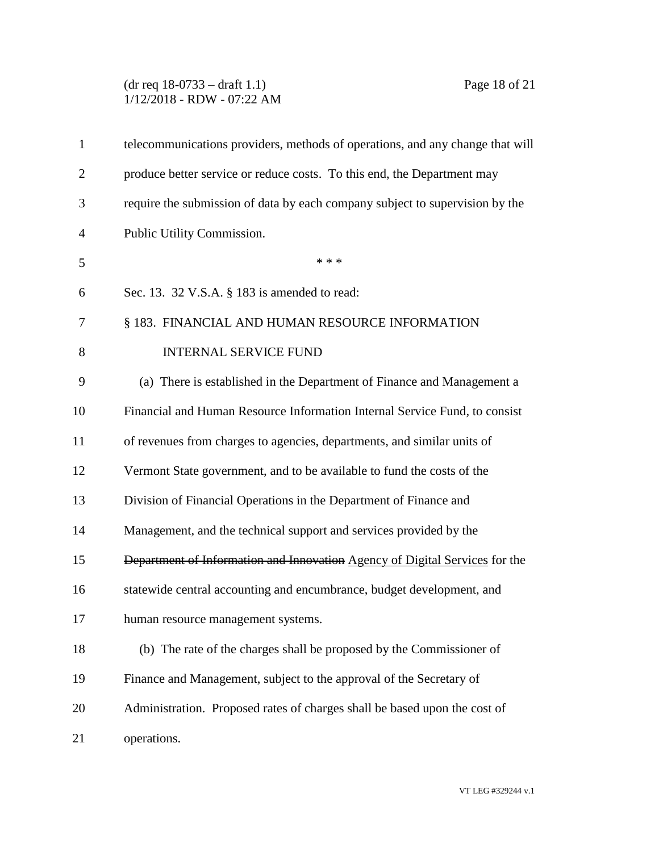## (dr req 18-0733 – draft 1.1) Page 18 of 21 1/12/2018 - RDW - 07:22 AM

| $\mathbf{1}$   | telecommunications providers, methods of operations, and any change that will |  |  |
|----------------|-------------------------------------------------------------------------------|--|--|
| $\overline{2}$ | produce better service or reduce costs. To this end, the Department may       |  |  |
| 3              | require the submission of data by each company subject to supervision by the  |  |  |
| $\overline{4}$ | Public Utility Commission.                                                    |  |  |
| 5              | * * *                                                                         |  |  |
| 6              | Sec. 13. 32 V.S.A. § 183 is amended to read:                                  |  |  |
| 7              | § 183. FINANCIAL AND HUMAN RESOURCE INFORMATION                               |  |  |
| 8              | <b>INTERNAL SERVICE FUND</b>                                                  |  |  |
| 9              | (a) There is established in the Department of Finance and Management a        |  |  |
| 10             | Financial and Human Resource Information Internal Service Fund, to consist    |  |  |
| 11             | of revenues from charges to agencies, departments, and similar units of       |  |  |
| 12             | Vermont State government, and to be available to fund the costs of the        |  |  |
| 13             | Division of Financial Operations in the Department of Finance and             |  |  |
| 14             | Management, and the technical support and services provided by the            |  |  |
| 15             | Department of Information and Innovation Agency of Digital Services for the   |  |  |
| 16             | statewide central accounting and encumbrance, budget development, and         |  |  |
| 17             | human resource management systems.                                            |  |  |
| 18             | (b) The rate of the charges shall be proposed by the Commissioner of          |  |  |
| 19             | Finance and Management, subject to the approval of the Secretary of           |  |  |
| 20             | Administration. Proposed rates of charges shall be based upon the cost of     |  |  |
| 21             | operations.                                                                   |  |  |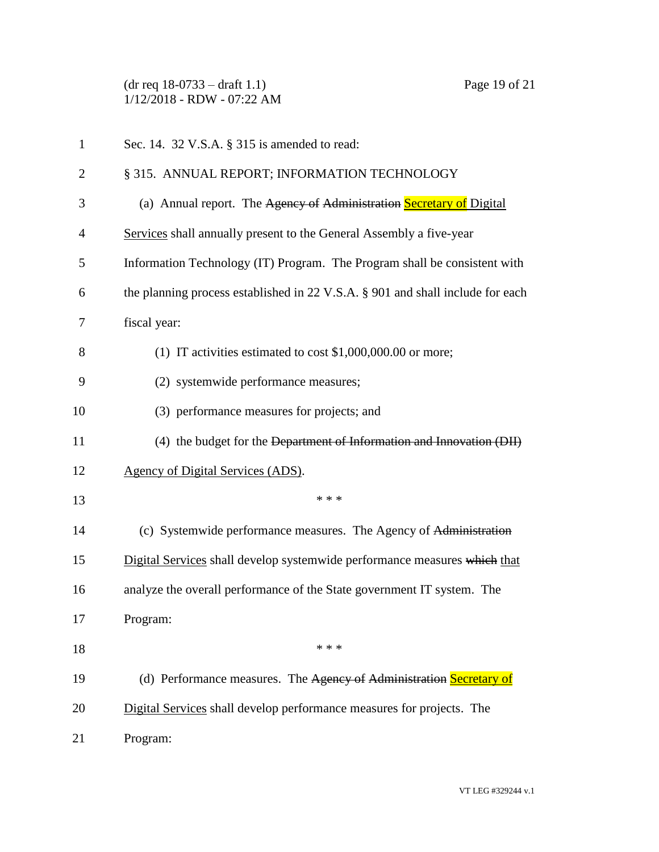(dr req 18-0733 – draft 1.1) Page 19 of 21 1/12/2018 - RDW - 07:22 AM

| $\mathbf{1}$ | Sec. 14. 32 V.S.A. § 315 is amended to read:                                   |  |  |
|--------------|--------------------------------------------------------------------------------|--|--|
| 2            | § 315. ANNUAL REPORT; INFORMATION TECHNOLOGY                                   |  |  |
| 3            | (a) Annual report. The Agency of Administration Secretary of Digital           |  |  |
| 4            | Services shall annually present to the General Assembly a five-year            |  |  |
| 5            | Information Technology (IT) Program. The Program shall be consistent with      |  |  |
| 6            | the planning process established in 22 V.S.A. § 901 and shall include for each |  |  |
| 7            | fiscal year:                                                                   |  |  |
| 8            | (1) IT activities estimated to cost $$1,000,000.00$ or more;                   |  |  |
| 9            | (2) systemwide performance measures;                                           |  |  |
| 10           | (3) performance measures for projects; and                                     |  |  |
| 11           | (4) the budget for the Department of Information and Innovation (DII)          |  |  |
| 12           | Agency of Digital Services (ADS).                                              |  |  |
| 13           | * * *                                                                          |  |  |
| 14           | (c) Systemwide performance measures. The Agency of Administration              |  |  |
| 15           | Digital Services shall develop systemwide performance measures which that      |  |  |
| 16           | analyze the overall performance of the State government IT system. The         |  |  |
| 17           | Program:                                                                       |  |  |
| 18           | * * *                                                                          |  |  |
| 19           | (d) Performance measures. The Agency of Administration Secretary of            |  |  |
| 20           | Digital Services shall develop performance measures for projects. The          |  |  |
| 21           | Program:                                                                       |  |  |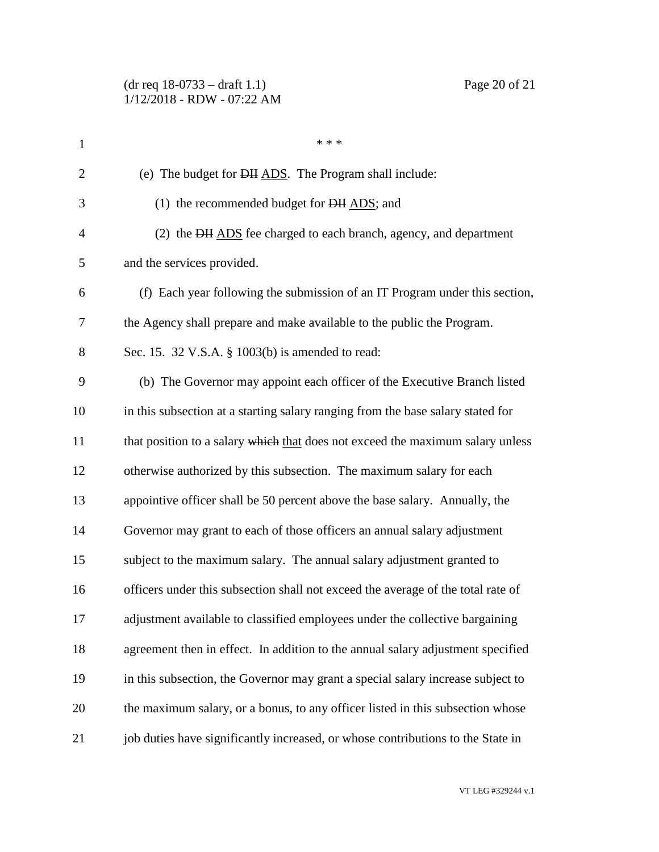| $\mathbf{1}$   | * * *                                                                            |
|----------------|----------------------------------------------------------------------------------|
| $\overline{2}$ | (e) The budget for <del>DH</del> ADS. The Program shall include:                 |
| 3              | (1) the recommended budget for DH ADS; and                                       |
| $\overline{4}$ | (2) the DH ADS fee charged to each branch, agency, and department                |
| 5              | and the services provided.                                                       |
| 6              | (f) Each year following the submission of an IT Program under this section,      |
| 7              | the Agency shall prepare and make available to the public the Program.           |
| 8              | Sec. 15. 32 V.S.A. § 1003(b) is amended to read:                                 |
| 9              | (b) The Governor may appoint each officer of the Executive Branch listed         |
| 10             | in this subsection at a starting salary ranging from the base salary stated for  |
| 11             | that position to a salary which that does not exceed the maximum salary unless   |
| 12             | otherwise authorized by this subsection. The maximum salary for each             |
| 13             | appointive officer shall be 50 percent above the base salary. Annually, the      |
| 14             | Governor may grant to each of those officers an annual salary adjustment         |
| 15             | subject to the maximum salary. The annual salary adjustment granted to           |
| 16             | officers under this subsection shall not exceed the average of the total rate of |
| 17             | adjustment available to classified employees under the collective bargaining     |
| 18             | agreement then in effect. In addition to the annual salary adjustment specified  |
| 19             | in this subsection, the Governor may grant a special salary increase subject to  |
| 20             | the maximum salary, or a bonus, to any officer listed in this subsection whose   |
| 21             | job duties have significantly increased, or whose contributions to the State in  |